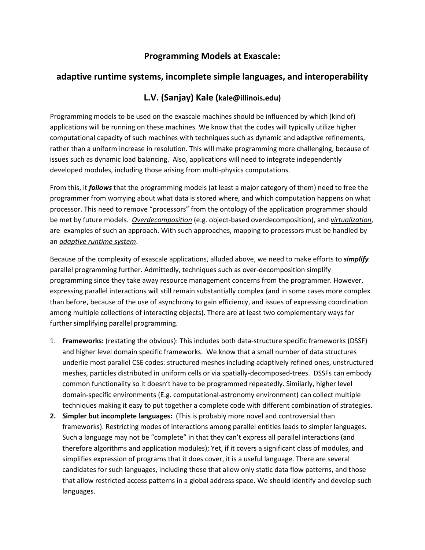## **Programming Models at Exascale:**

## **adaptive runtime systems, incomplete simple languages, and interoperability**

## **L.V. (Sanjay) Kale (kale@illinois.edu)**

Programming models to be used on the exascale machines should be influenced by which (kind of) applications will be running on these machines. We know that the codes will typically utilize higher computational capacity of such machines with techniques such as dynamic and adaptive refinements, rather than a uniform increase in resolution. This will make programming more challenging, because of issues such as dynamic load balancing. Also, applications will need to integrate independently developed modules, including those arising from multi-physics computations.

From this, it *follows* that the programming models (at least a major category of them) need to free the programmer from worrying about what data is stored where, and which computation happens on what processor. This need to remove "processors" from the ontology of the application programmer should be met by future models. *Overdecomposition* (e.g. object-based overdecomposition), and *virtualization*, are examples of such an approach. With such approaches, mapping to processors must be handled by an *adaptive runtime system*.

Because of the complexity of exascale applications, alluded above, we need to make efforts to *simplify* parallel programming further. Admittedly, techniques such as over-decomposition simplify programming since they take away resource management concerns from the programmer. However, expressing parallel interactions will still remain substantially complex (and in some cases more complex than before, because of the use of asynchrony to gain efficiency, and issues of expressing coordination among multiple collections of interacting objects). There are at least two complementary ways for further simplifying parallel programming.

- 1. **Frameworks:** (restating the obvious): This includes both data-structure specific frameworks (DSSF) and higher level domain specific frameworks. We know that a small number of data structures underlie most parallel CSE codes: structured meshes including adaptively refined ones, unstructured meshes, particles distributed in uniform cells or via spatially-decomposed-trees. DSSFs can embody common functionality so it doesn't have to be programmed repeatedly. Similarly, higher level domain-specific environments (E.g. computational-astronomy environment) can collect multiple techniques making it easy to put together a complete code with different combination of strategies.
- **2. Simpler but incomplete languages:** (This is probably more novel and controversial than frameworks). Restricting modes of interactions among parallel entities leads to simpler languages. Such a language may not be "complete" in that they can't express all parallel interactions (and therefore algorithms and application modules); Yet, if it covers a significant class of modules, and simplifies expression of programs that it does cover, it is a useful language. There are several candidates for such languages, including those that allow only static data flow patterns, and those that allow restricted access patterns in a global address space. We should identify and develop such languages.